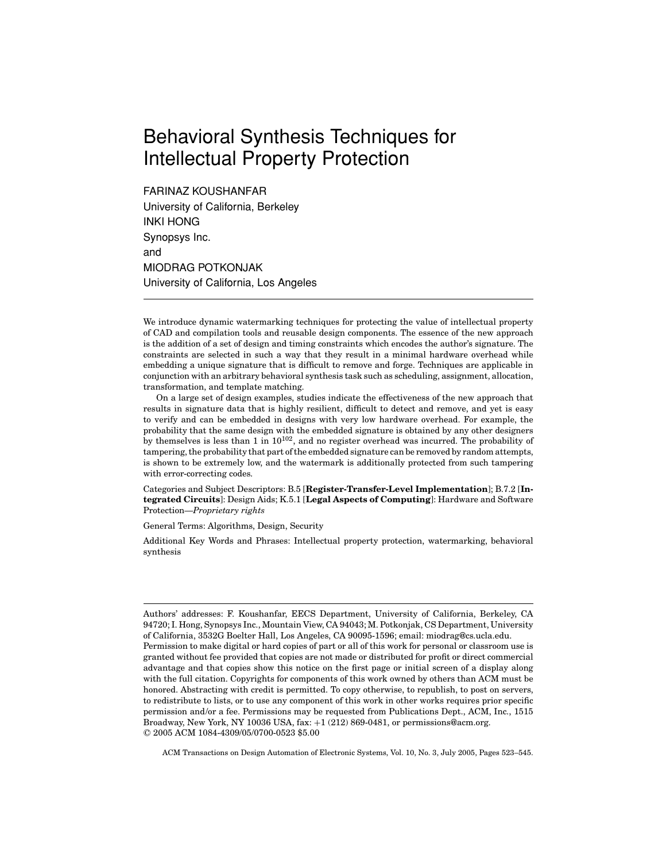# Behavioral Synthesis Techniques for Intellectual Property Protection

FARINAZ KOUSHANFAR University of California, Berkeley INKI HONG Synopsys Inc. and MIODRAG POTKONJAK University of California, Los Angeles

We introduce dynamic watermarking techniques for protecting the value of intellectual property of CAD and compilation tools and reusable design components. The essence of the new approach is the addition of a set of design and timing constraints which encodes the author's signature. The constraints are selected in such a way that they result in a minimal hardware overhead while embedding a unique signature that is difficult to remove and forge. Techniques are applicable in conjunction with an arbitrary behavioral synthesis task such as scheduling, assignment, allocation, transformation, and template matching.

On a large set of design examples, studies indicate the effectiveness of the new approach that results in signature data that is highly resilient, difficult to detect and remove, and yet is easy to verify and can be embedded in designs with very low hardware overhead. For example, the probability that the same design with the embedded signature is obtained by any other designers by themselves is less than 1 in 10102, and no register overhead was incurred. The probability of tampering, the probability that part of the embedded signature can be removed by random attempts, is shown to be extremely low, and the watermark is additionally protected from such tampering with error-correcting codes.

Categories and Subject Descriptors: B.5 [**Register-Transfer-Level Implementation**]; B.7.2 [**Integrated Circuits**]: Design Aids; K.5.1 [**Legal Aspects of Computing**]: Hardware and Software Protection—*Proprietary rights*

General Terms: Algorithms, Design, Security

Additional Key Words and Phrases: Intellectual property protection, watermarking, behavioral synthesis

Authors' addresses: F. Koushanfar, EECS Department, University of California, Berkeley, CA 94720; I. Hong, Synopsys Inc., Mountain View, CA 94043; M. Potkonjak, CS Department, University of California, 3532G Boelter Hall, Los Angeles, CA 90095-1596; email: miodrag@cs.ucla.edu. Permission to make digital or hard copies of part or all of this work for personal or classroom use is granted without fee provided that copies are not made or distributed for profit or direct commercial advantage and that copies show this notice on the first page or initial screen of a display along with the full citation. Copyrights for components of this work owned by others than ACM must be honored. Abstracting with credit is permitted. To copy otherwise, to republish, to post on servers, to redistribute to lists, or to use any component of this work in other works requires prior specific permission and/or a fee. Permissions may be requested from Publications Dept., ACM, Inc., 1515 Broadway, New York, NY 10036 USA,  $\text{fax:} +1$  (212) 869-0481, or permissions@acm.org. <sup>C</sup> 2005 ACM 1084-4309/05/0700-0523 \$5.00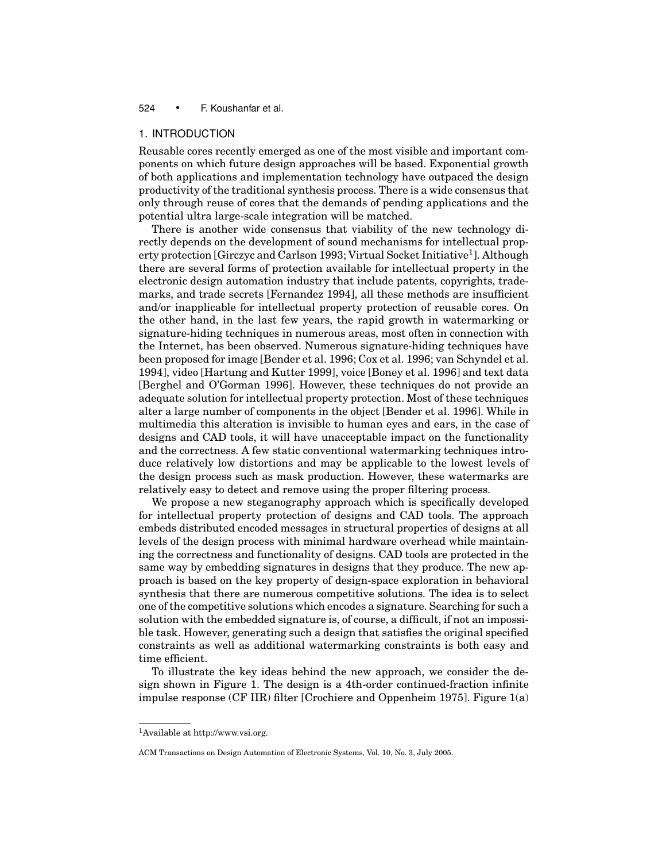## 1. INTRODUCTION

Reusable cores recently emerged as one of the most visible and important components on which future design approaches will be based. Exponential growth of both applications and implementation technology have outpaced the design productivity of the traditional synthesis process. There is a wide consensus that only through reuse of cores that the demands of pending applications and the potential ultra large-scale integration will be matched.

There is another wide consensus that viability of the new technology directly depends on the development of sound mechanisms for intellectual property protection [Girczyc and Carlson 1993; Virtual Socket Initiative1]. Although there are several forms of protection available for intellectual property in the electronic design automation industry that include patents, copyrights, trademarks, and trade secrets [Fernandez 1994], all these methods are insufficient and/or inapplicable for intellectual property protection of reusable cores. On the other hand, in the last few years, the rapid growth in watermarking or signature-hiding techniques in numerous areas, most often in connection with the Internet, has been observed. Numerous signature-hiding techniques have been proposed for image [Bender et al. 1996; Cox et al. 1996; van Schyndel et al. 1994], video [Hartung and Kutter 1999], voice [Boney et al. 1996] and text data [Berghel and O'Gorman 1996]. However, these techniques do not provide an adequate solution for intellectual property protection. Most of these techniques alter a large number of components in the object [Bender et al. 1996]. While in multimedia this alteration is invisible to human eyes and ears, in the case of designs and CAD tools, it will have unacceptable impact on the functionality and the correctness. A few static conventional watermarking techniques introduce relatively low distortions and may be applicable to the lowest levels of the design process such as mask production. However, these watermarks are relatively easy to detect and remove using the proper filtering process.

We propose a new steganography approach which is specifically developed for intellectual property protection of designs and CAD tools. The approach embeds distributed encoded messages in structural properties of designs at all levels of the design process with minimal hardware overhead while maintaining the correctness and functionality of designs. CAD tools are protected in the same way by embedding signatures in designs that they produce. The new approach is based on the key property of design-space exploration in behavioral synthesis that there are numerous competitive solutions. The idea is to select one of the competitive solutions which encodes a signature. Searching for such a solution with the embedded signature is, of course, a difficult, if not an impossible task. However, generating such a design that satisfies the original specified constraints as well as additional watermarking constraints is both easy and time efficient.

To illustrate the key ideas behind the new approach, we consider the design shown in Figure 1. The design is a 4th-order continued-fraction infinite impulse response (CF IIR) filter [Crochiere and Oppenheim 1975]. Figure 1(a)

<sup>&</sup>lt;sup>1</sup>Available at http://www.vsi.org.

ACM Transactions on Design Automation of Electronic Systems, Vol. 10, No. 3, July 2005.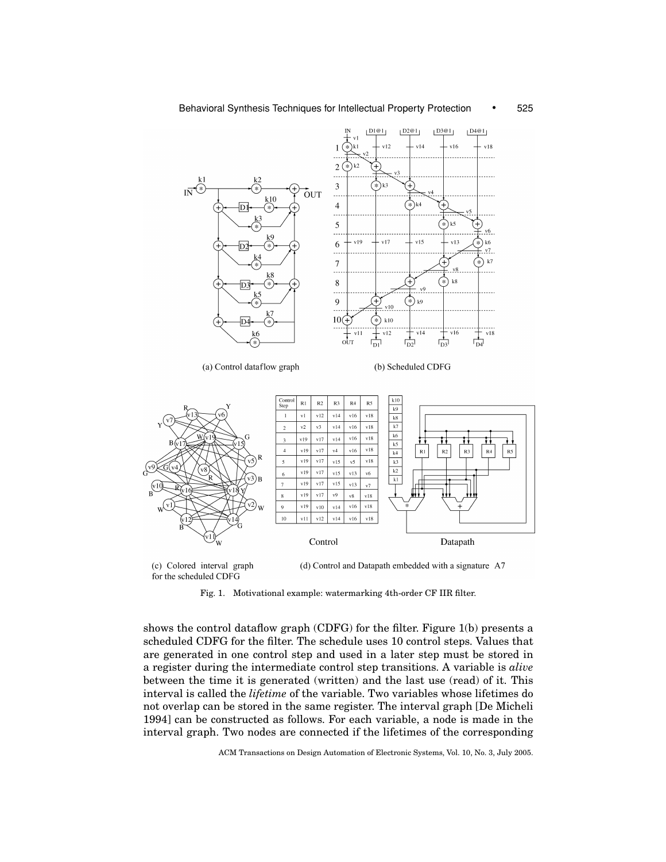#### Behavioral Synthesis Techniques for Intellectual Property Protection • 525



(c) Colored interval graph for the scheduled CDFG

(d) Control and Datapath embedded with a signature A7

Fig. 1. Motivational example: watermarking 4th-order CF IIR filter.

shows the control dataflow graph (CDFG) for the filter. Figure 1(b) presents a scheduled CDFG for the filter. The schedule uses 10 control steps. Values that are generated in one control step and used in a later step must be stored in a register during the intermediate control step transitions. A variable is *alive* between the time it is generated (written) and the last use (read) of it. This interval is called the *lifetime* of the variable. Two variables whose lifetimes do not overlap can be stored in the same register. The interval graph [De Micheli 1994] can be constructed as follows. For each variable, a node is made in the interval graph. Two nodes are connected if the lifetimes of the corresponding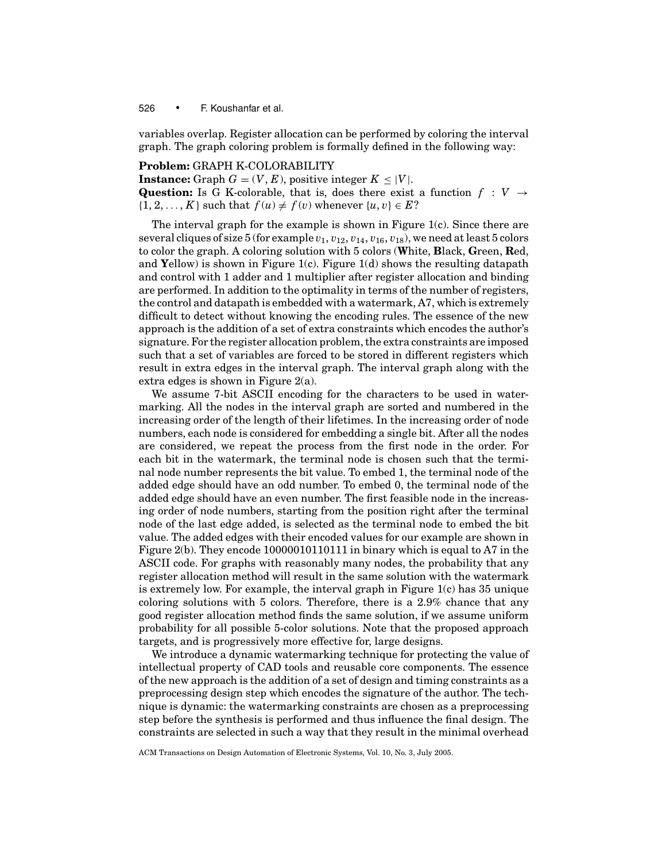variables overlap. Register allocation can be performed by coloring the interval graph. The graph coloring problem is formally defined in the following way:

#### **Problem:** GRAPH K-COLORABILITY

**Instance:** Graph  $G = (V, E)$ , positive integer  $K \leq |V|$ . **Question:** Is G K-colorable, that is, does there exist a function  $f: V \rightarrow$  $\{1, 2, \ldots, K\}$  such that  $f(u) \neq f(v)$  whenever  $\{u, v\} \in E$ ?

The interval graph for the example is shown in Figure 1(c). Since there are several cliques of size 5 (for example  $v_1$ ,  $v_{12}$ ,  $v_{14}$ ,  $v_{16}$ ,  $v_{18}$ ), we need at least 5 colors to color the graph. A coloring solution with 5 colors (**W**hite, **B**lack, **G**reen, **R**ed, and **Y**ellow) is shown in Figure 1(c). Figure 1(d) shows the resulting datapath and control with 1 adder and 1 multiplier after register allocation and binding are performed. In addition to the optimality in terms of the number of registers, the control and datapath is embedded with a watermark, A7, which is extremely difficult to detect without knowing the encoding rules. The essence of the new approach is the addition of a set of extra constraints which encodes the author's signature. For the register allocation problem, the extra constraints are imposed such that a set of variables are forced to be stored in different registers which result in extra edges in the interval graph. The interval graph along with the extra edges is shown in Figure 2(a).

We assume 7-bit ASCII encoding for the characters to be used in watermarking. All the nodes in the interval graph are sorted and numbered in the increasing order of the length of their lifetimes. In the increasing order of node numbers, each node is considered for embedding a single bit. After all the nodes are considered, we repeat the process from the first node in the order. For each bit in the watermark, the terminal node is chosen such that the terminal node number represents the bit value. To embed 1, the terminal node of the added edge should have an odd number. To embed 0, the terminal node of the added edge should have an even number. The first feasible node in the increasing order of node numbers, starting from the position right after the terminal node of the last edge added, is selected as the terminal node to embed the bit value. The added edges with their encoded values for our example are shown in Figure 2(b). They encode 10000010110111 in binary which is equal to A7 in the ASCII code. For graphs with reasonably many nodes, the probability that any register allocation method will result in the same solution with the watermark is extremely low. For example, the interval graph in Figure 1(c) has 35 unique coloring solutions with 5 colors. Therefore, there is a 2.9% chance that any good register allocation method finds the same solution, if we assume uniform probability for all possible 5-color solutions. Note that the proposed approach targets, and is progressively more effective for, large designs.

We introduce a dynamic watermarking technique for protecting the value of intellectual property of CAD tools and reusable core components. The essence of the new approach is the addition of a set of design and timing constraints as a preprocessing design step which encodes the signature of the author. The technique is dynamic: the watermarking constraints are chosen as a preprocessing step before the synthesis is performed and thus influence the final design. The constraints are selected in such a way that they result in the minimal overhead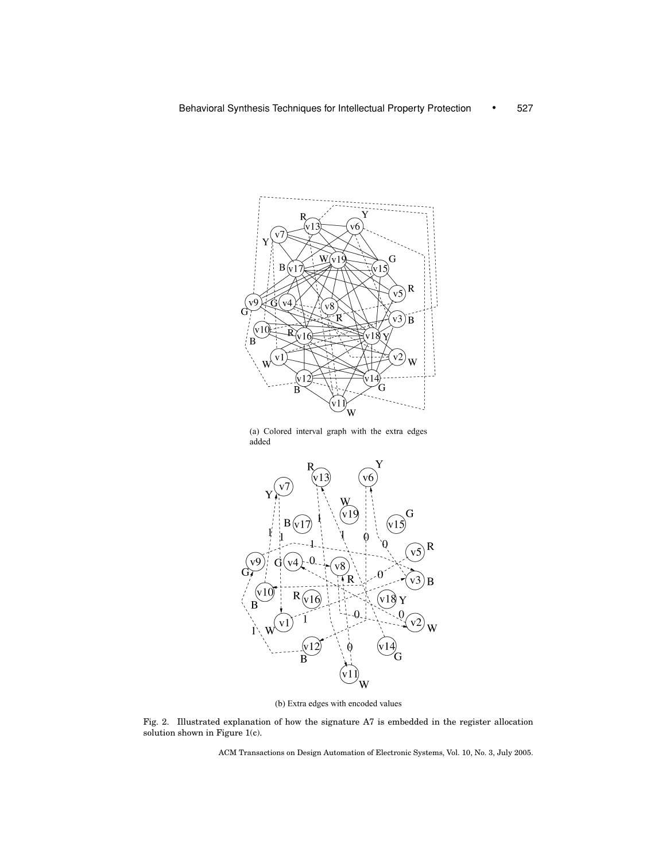

(a) Colored interval graph with the extra edges  $\operatorname{\mathsf{added}}$ 



(b) Extra edges with encoded values

Fig. 2. Illustrated explanation of how the signature A7 is embedded in the register allocation solution shown in Figure 1(c).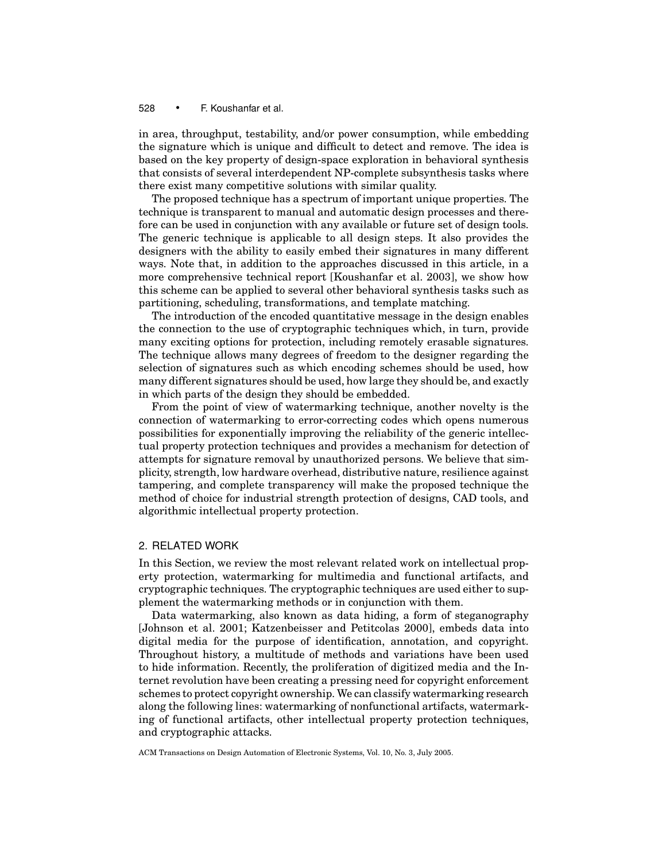in area, throughput, testability, and/or power consumption, while embedding the signature which is unique and difficult to detect and remove. The idea is based on the key property of design-space exploration in behavioral synthesis that consists of several interdependent NP-complete subsynthesis tasks where there exist many competitive solutions with similar quality.

The proposed technique has a spectrum of important unique properties. The technique is transparent to manual and automatic design processes and therefore can be used in conjunction with any available or future set of design tools. The generic technique is applicable to all design steps. It also provides the designers with the ability to easily embed their signatures in many different ways. Note that, in addition to the approaches discussed in this article, in a more comprehensive technical report [Koushanfar et al. 2003], we show how this scheme can be applied to several other behavioral synthesis tasks such as partitioning, scheduling, transformations, and template matching.

The introduction of the encoded quantitative message in the design enables the connection to the use of cryptographic techniques which, in turn, provide many exciting options for protection, including remotely erasable signatures. The technique allows many degrees of freedom to the designer regarding the selection of signatures such as which encoding schemes should be used, how many different signatures should be used, how large they should be, and exactly in which parts of the design they should be embedded.

From the point of view of watermarking technique, another novelty is the connection of watermarking to error-correcting codes which opens numerous possibilities for exponentially improving the reliability of the generic intellectual property protection techniques and provides a mechanism for detection of attempts for signature removal by unauthorized persons. We believe that simplicity, strength, low hardware overhead, distributive nature, resilience against tampering, and complete transparency will make the proposed technique the method of choice for industrial strength protection of designs, CAD tools, and algorithmic intellectual property protection.

## 2. RELATED WORK

In this Section, we review the most relevant related work on intellectual property protection, watermarking for multimedia and functional artifacts, and cryptographic techniques. The cryptographic techniques are used either to supplement the watermarking methods or in conjunction with them.

Data watermarking, also known as data hiding, a form of steganography [Johnson et al. 2001; Katzenbeisser and Petitcolas 2000], embeds data into digital media for the purpose of identification, annotation, and copyright. Throughout history, a multitude of methods and variations have been used to hide information. Recently, the proliferation of digitized media and the Internet revolution have been creating a pressing need for copyright enforcement schemes to protect copyright ownership. We can classify watermarking research along the following lines: watermarking of nonfunctional artifacts, watermarking of functional artifacts, other intellectual property protection techniques, and cryptographic attacks.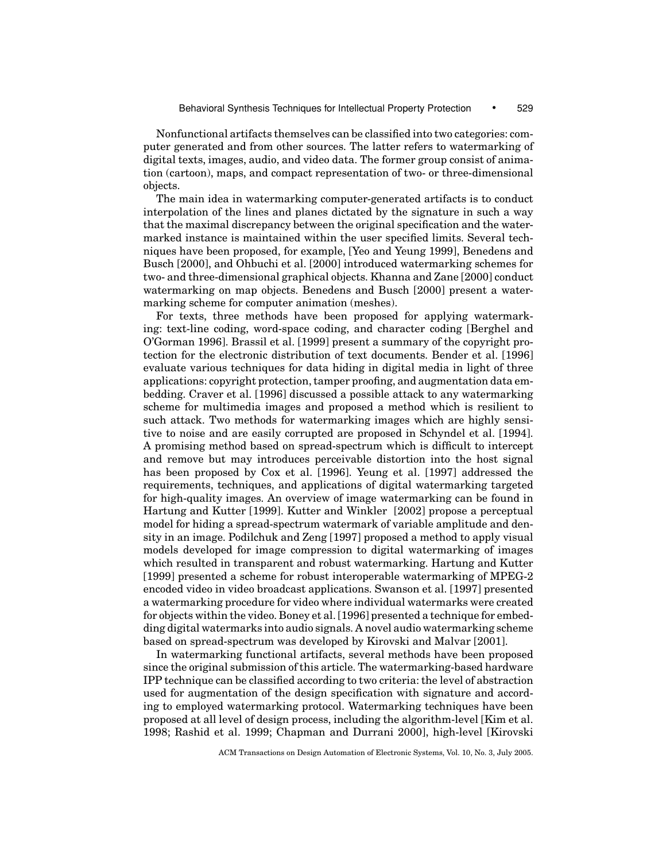Nonfunctional artifacts themselves can be classified into two categories: computer generated and from other sources. The latter refers to watermarking of digital texts, images, audio, and video data. The former group consist of animation (cartoon), maps, and compact representation of two- or three-dimensional objects.

The main idea in watermarking computer-generated artifacts is to conduct interpolation of the lines and planes dictated by the signature in such a way that the maximal discrepancy between the original specification and the watermarked instance is maintained within the user specified limits. Several techniques have been proposed, for example, [Yeo and Yeung 1999], Benedens and Busch [2000], and Ohbuchi et al. [2000] introduced watermarking schemes for two- and three-dimensional graphical objects. Khanna and Zane [2000] conduct watermarking on map objects. Benedens and Busch [2000] present a watermarking scheme for computer animation (meshes).

For texts, three methods have been proposed for applying watermarking: text-line coding, word-space coding, and character coding [Berghel and O'Gorman 1996]. Brassil et al. [1999] present a summary of the copyright protection for the electronic distribution of text documents. Bender et al. [1996] evaluate various techniques for data hiding in digital media in light of three applications: copyright protection, tamper proofing, and augmentation data embedding. Craver et al. [1996] discussed a possible attack to any watermarking scheme for multimedia images and proposed a method which is resilient to such attack. Two methods for watermarking images which are highly sensitive to noise and are easily corrupted are proposed in Schyndel et al. [1994]. A promising method based on spread-spectrum which is difficult to intercept and remove but may introduces perceivable distortion into the host signal has been proposed by Cox et al. [1996]. Yeung et al. [1997] addressed the requirements, techniques, and applications of digital watermarking targeted for high-quality images. An overview of image watermarking can be found in Hartung and Kutter [1999]. Kutter and Winkler [2002] propose a perceptual model for hiding a spread-spectrum watermark of variable amplitude and density in an image. Podilchuk and Zeng [1997] proposed a method to apply visual models developed for image compression to digital watermarking of images which resulted in transparent and robust watermarking. Hartung and Kutter [1999] presented a scheme for robust interoperable watermarking of MPEG-2 encoded video in video broadcast applications. Swanson et al. [1997] presented a watermarking procedure for video where individual watermarks were created for objects within the video. Boney et al. [1996] presented a technique for embedding digital watermarks into audio signals. A novel audio watermarking scheme based on spread-spectrum was developed by Kirovski and Malvar [2001].

In watermarking functional artifacts, several methods have been proposed since the original submission of this article. The watermarking-based hardware IPP technique can be classified according to two criteria: the level of abstraction used for augmentation of the design specification with signature and according to employed watermarking protocol. Watermarking techniques have been proposed at all level of design process, including the algorithm-level [Kim et al. 1998; Rashid et al. 1999; Chapman and Durrani 2000], high-level [Kirovski

ACM Transactions on Design Automation of Electronic Systems, Vol. 10, No. 3, July 2005.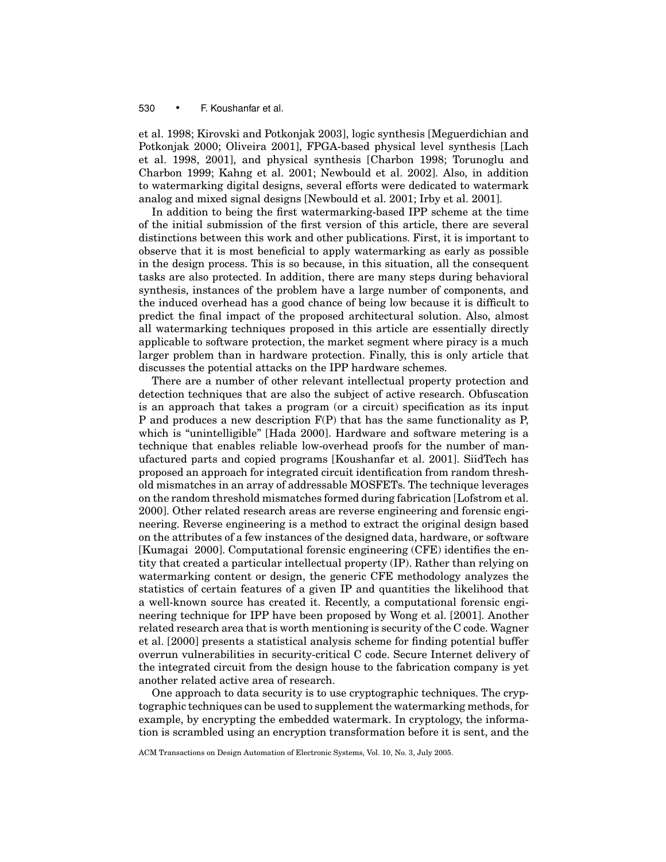et al. 1998; Kirovski and Potkonjak 2003], logic synthesis [Meguerdichian and Potkonjak 2000; Oliveira 2001], FPGA-based physical level synthesis [Lach et al. 1998, 2001], and physical synthesis [Charbon 1998; Torunoglu and Charbon 1999; Kahng et al. 2001; Newbould et al. 2002]. Also, in addition to watermarking digital designs, several efforts were dedicated to watermark analog and mixed signal designs [Newbould et al. 2001; Irby et al. 2001].

In addition to being the first watermarking-based IPP scheme at the time of the initial submission of the first version of this article, there are several distinctions between this work and other publications. First, it is important to observe that it is most beneficial to apply watermarking as early as possible in the design process. This is so because, in this situation, all the consequent tasks are also protected. In addition, there are many steps during behavioral synthesis, instances of the problem have a large number of components, and the induced overhead has a good chance of being low because it is difficult to predict the final impact of the proposed architectural solution. Also, almost all watermarking techniques proposed in this article are essentially directly applicable to software protection, the market segment where piracy is a much larger problem than in hardware protection. Finally, this is only article that discusses the potential attacks on the IPP hardware schemes.

There are a number of other relevant intellectual property protection and detection techniques that are also the subject of active research. Obfuscation is an approach that takes a program (or a circuit) specification as its input P and produces a new description F(P) that has the same functionality as P, which is "unintelligible" [Hada 2000]. Hardware and software metering is a technique that enables reliable low-overhead proofs for the number of manufactured parts and copied programs [Koushanfar et al. 2001]. SiidTech has proposed an approach for integrated circuit identification from random threshold mismatches in an array of addressable MOSFETs. The technique leverages on the random threshold mismatches formed during fabrication [Lofstrom et al. 2000]. Other related research areas are reverse engineering and forensic engineering. Reverse engineering is a method to extract the original design based on the attributes of a few instances of the designed data, hardware, or software [Kumagai 2000]. Computational forensic engineering (CFE) identifies the entity that created a particular intellectual property (IP). Rather than relying on watermarking content or design, the generic CFE methodology analyzes the statistics of certain features of a given IP and quantities the likelihood that a well-known source has created it. Recently, a computational forensic engineering technique for IPP have been proposed by Wong et al. [2001]. Another related research area that is worth mentioning is security of the C code. Wagner et al. [2000] presents a statistical analysis scheme for finding potential buffer overrun vulnerabilities in security-critical C code. Secure Internet delivery of the integrated circuit from the design house to the fabrication company is yet another related active area of research.

One approach to data security is to use cryptographic techniques. The cryptographic techniques can be used to supplement the watermarking methods, for example, by encrypting the embedded watermark. In cryptology, the information is scrambled using an encryption transformation before it is sent, and the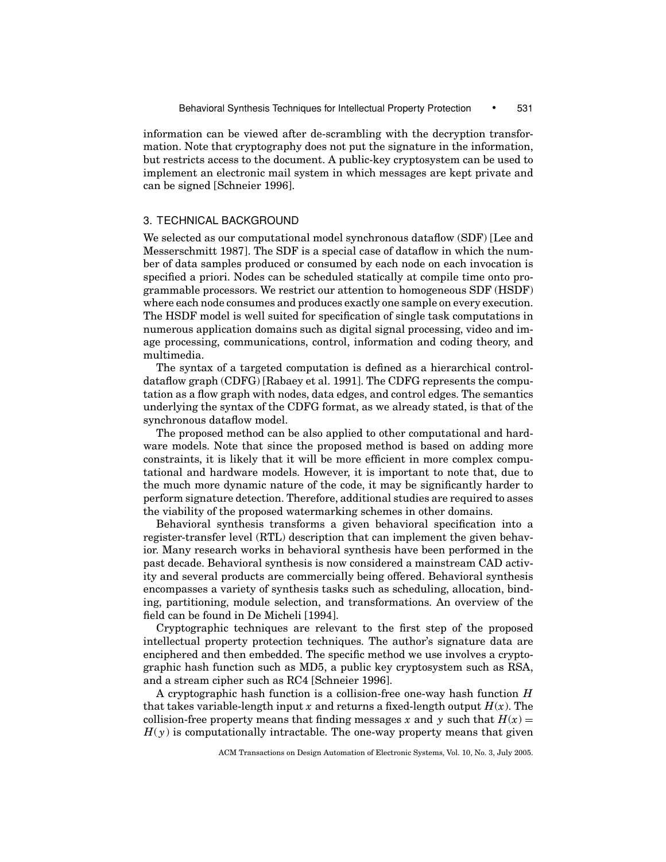information can be viewed after de-scrambling with the decryption transformation. Note that cryptography does not put the signature in the information, but restricts access to the document. A public-key cryptosystem can be used to implement an electronic mail system in which messages are kept private and can be signed [Schneier 1996].

#### 3. TECHNICAL BACKGROUND

We selected as our computational model synchronous dataflow (SDF) [Lee and Messerschmitt 1987]. The SDF is a special case of dataflow in which the number of data samples produced or consumed by each node on each invocation is specified a priori. Nodes can be scheduled statically at compile time onto programmable processors. We restrict our attention to homogeneous SDF (HSDF) where each node consumes and produces exactly one sample on every execution. The HSDF model is well suited for specification of single task computations in numerous application domains such as digital signal processing, video and image processing, communications, control, information and coding theory, and multimedia.

The syntax of a targeted computation is defined as a hierarchical controldataflow graph (CDFG) [Rabaey et al. 1991]. The CDFG represents the computation as a flow graph with nodes, data edges, and control edges. The semantics underlying the syntax of the CDFG format, as we already stated, is that of the synchronous dataflow model.

The proposed method can be also applied to other computational and hardware models. Note that since the proposed method is based on adding more constraints, it is likely that it will be more efficient in more complex computational and hardware models. However, it is important to note that, due to the much more dynamic nature of the code, it may be significantly harder to perform signature detection. Therefore, additional studies are required to asses the viability of the proposed watermarking schemes in other domains.

Behavioral synthesis transforms a given behavioral specification into a register-transfer level (RTL) description that can implement the given behavior. Many research works in behavioral synthesis have been performed in the past decade. Behavioral synthesis is now considered a mainstream CAD activity and several products are commercially being offered. Behavioral synthesis encompasses a variety of synthesis tasks such as scheduling, allocation, binding, partitioning, module selection, and transformations. An overview of the field can be found in De Micheli [1994].

Cryptographic techniques are relevant to the first step of the proposed intellectual property protection techniques. The author's signature data are enciphered and then embedded. The specific method we use involves a cryptographic hash function such as MD5, a public key cryptosystem such as RSA, and a stream cipher such as RC4 [Schneier 1996].

A cryptographic hash function is a collision-free one-way hash function *H* that takes variable-length input *x* and returns a fixed-length output  $H(x)$ . The collision-free property means that finding messages x and y such that  $H(x)$  =  $H(y)$  is computationally intractable. The one-way property means that given

ACM Transactions on Design Automation of Electronic Systems, Vol. 10, No. 3, July 2005.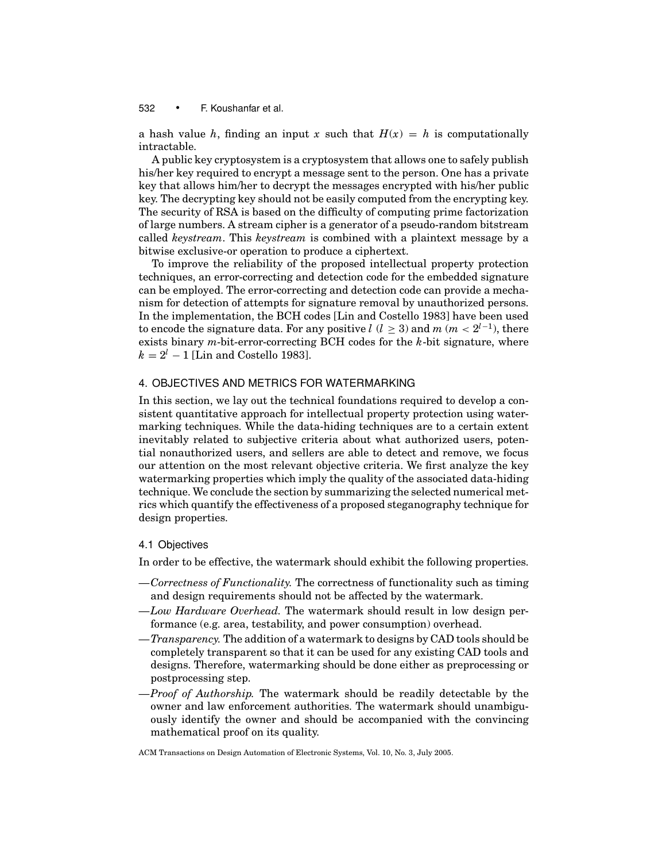a hash value *h*, finding an input *x* such that  $H(x) = h$  is computationally intractable.

A public key cryptosystem is a cryptosystem that allows one to safely publish his/her key required to encrypt a message sent to the person. One has a private key that allows him/her to decrypt the messages encrypted with his/her public key. The decrypting key should not be easily computed from the encrypting key. The security of RSA is based on the difficulty of computing prime factorization of large numbers. A stream cipher is a generator of a pseudo-random bitstream called *keystream*. This *keystream* is combined with a plaintext message by a bitwise exclusive-or operation to produce a ciphertext.

To improve the reliability of the proposed intellectual property protection techniques, an error-correcting and detection code for the embedded signature can be employed. The error-correcting and detection code can provide a mechanism for detection of attempts for signature removal by unauthorized persons. In the implementation, the BCH codes [Lin and Costello 1983] have been used to encode the signature data. For any positive  $l$  ( $l \geq 3$ ) and  $m$  ( $m < 2^{l-1}$ ), there exists binary *m*-bit-error-correcting BCH codes for the *k*-bit signature, where  $k = 2<sup>l</sup> - 1$  [Lin and Costello 1983].

# 4. OBJECTIVES AND METRICS FOR WATERMARKING

In this section, we lay out the technical foundations required to develop a consistent quantitative approach for intellectual property protection using watermarking techniques. While the data-hiding techniques are to a certain extent inevitably related to subjective criteria about what authorized users, potential nonauthorized users, and sellers are able to detect and remove, we focus our attention on the most relevant objective criteria. We first analyze the key watermarking properties which imply the quality of the associated data-hiding technique. We conclude the section by summarizing the selected numerical metrics which quantify the effectiveness of a proposed steganography technique for design properties.

#### 4.1 Objectives

In order to be effective, the watermark should exhibit the following properties.

- —*Correctness of Functionality.* The correctness of functionality such as timing and design requirements should not be affected by the watermark.
- —*Low Hardware Overhead.* The watermark should result in low design performance (e.g. area, testability, and power consumption) overhead.
- —*Transparency.* The addition of a watermark to designs by CAD tools should be completely transparent so that it can be used for any existing CAD tools and designs. Therefore, watermarking should be done either as preprocessing or postprocessing step.
- —*Proof of Authorship.* The watermark should be readily detectable by the owner and law enforcement authorities. The watermark should unambiguously identify the owner and should be accompanied with the convincing mathematical proof on its quality.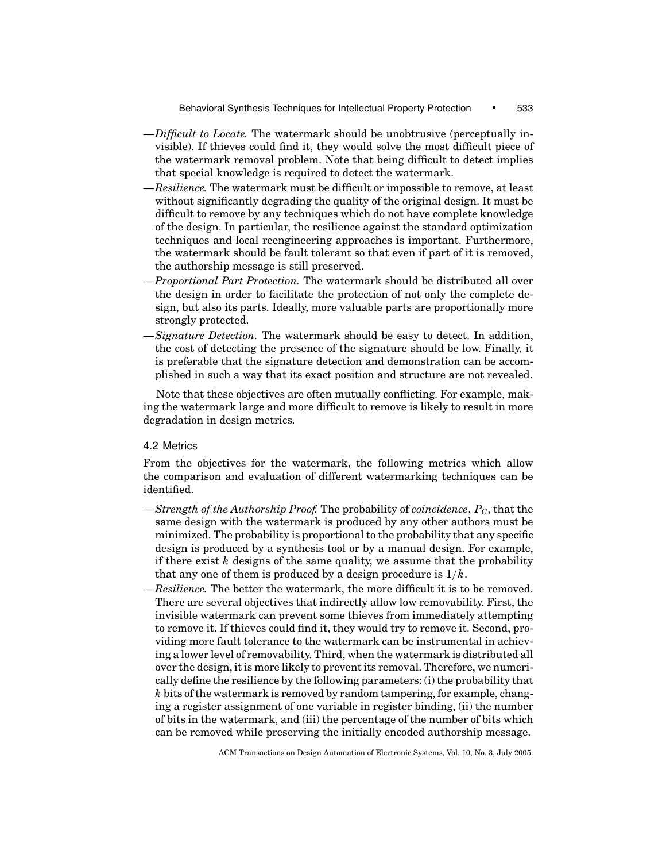- —*Difficult to Locate.* The watermark should be unobtrusive (perceptually invisible). If thieves could find it, they would solve the most difficult piece of the watermark removal problem. Note that being difficult to detect implies that special knowledge is required to detect the watermark.
- —*Resilience.* The watermark must be difficult or impossible to remove, at least without significantly degrading the quality of the original design. It must be difficult to remove by any techniques which do not have complete knowledge of the design. In particular, the resilience against the standard optimization techniques and local reengineering approaches is important. Furthermore, the watermark should be fault tolerant so that even if part of it is removed, the authorship message is still preserved.
- —*Proportional Part Protection.* The watermark should be distributed all over the design in order to facilitate the protection of not only the complete design, but also its parts. Ideally, more valuable parts are proportionally more strongly protected.
- —*Signature Detection.* The watermark should be easy to detect. In addition, the cost of detecting the presence of the signature should be low. Finally, it is preferable that the signature detection and demonstration can be accomplished in such a way that its exact position and structure are not revealed.

Note that these objectives are often mutually conflicting. For example, making the watermark large and more difficult to remove is likely to result in more degradation in design metrics.

#### 4.2 Metrics

From the objectives for the watermark, the following metrics which allow the comparison and evaluation of different watermarking techniques can be identified.

- —*Strength of the Authorship Proof.* The probability of *coincidence*, *PC*, that the same design with the watermark is produced by any other authors must be minimized. The probability is proportional to the probability that any specific design is produced by a synthesis tool or by a manual design. For example, if there exist *k* designs of the same quality, we assume that the probability that any one of them is produced by a design procedure is 1/*k*.
- —*Resilience.* The better the watermark, the more difficult it is to be removed. There are several objectives that indirectly allow low removability. First, the invisible watermark can prevent some thieves from immediately attempting to remove it. If thieves could find it, they would try to remove it. Second, providing more fault tolerance to the watermark can be instrumental in achieving a lower level of removability. Third, when the watermark is distributed all over the design, it is more likely to prevent its removal. Therefore, we numerically define the resilience by the following parameters: (i) the probability that *k* bits of the watermark is removed by random tampering, for example, changing a register assignment of one variable in register binding, (ii) the number of bits in the watermark, and (iii) the percentage of the number of bits which can be removed while preserving the initially encoded authorship message.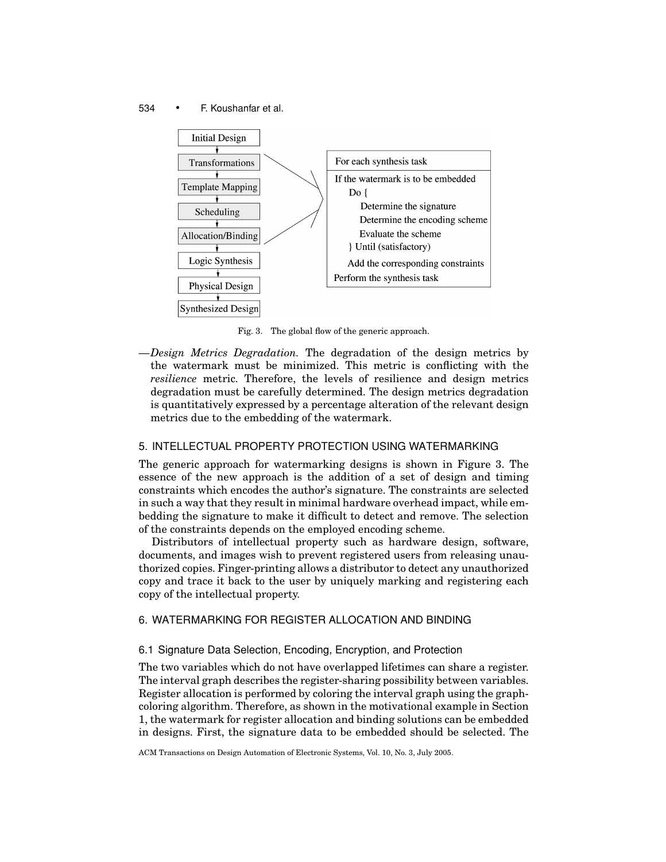

Fig. 3. The global flow of the generic approach.

—*Design Metrics Degradation.* The degradation of the design metrics by the watermark must be minimized. This metric is conflicting with the *resilience* metric. Therefore, the levels of resilience and design metrics degradation must be carefully determined. The design metrics degradation is quantitatively expressed by a percentage alteration of the relevant design metrics due to the embedding of the watermark.

## 5. INTELLECTUAL PROPERTY PROTECTION USING WATERMARKING

The generic approach for watermarking designs is shown in Figure 3. The essence of the new approach is the addition of a set of design and timing constraints which encodes the author's signature. The constraints are selected in such a way that they result in minimal hardware overhead impact, while embedding the signature to make it difficult to detect and remove. The selection of the constraints depends on the employed encoding scheme.

Distributors of intellectual property such as hardware design, software, documents, and images wish to prevent registered users from releasing unauthorized copies. Finger-printing allows a distributor to detect any unauthorized copy and trace it back to the user by uniquely marking and registering each copy of the intellectual property.

#### 6. WATERMARKING FOR REGISTER ALLOCATION AND BINDING

#### 6.1 Signature Data Selection, Encoding, Encryption, and Protection

The two variables which do not have overlapped lifetimes can share a register. The interval graph describes the register-sharing possibility between variables. Register allocation is performed by coloring the interval graph using the graphcoloring algorithm. Therefore, as shown in the motivational example in Section 1, the watermark for register allocation and binding solutions can be embedded in designs. First, the signature data to be embedded should be selected. The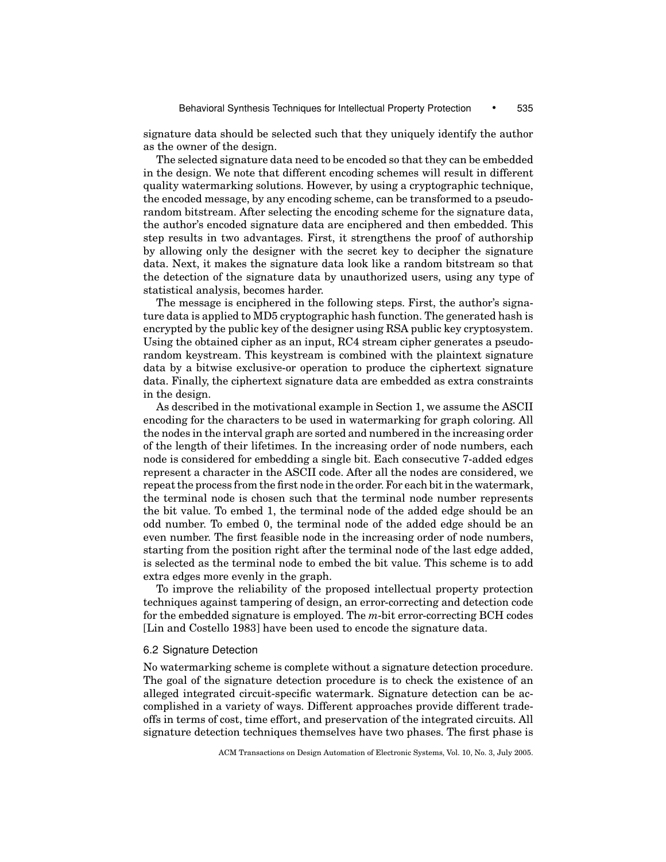signature data should be selected such that they uniquely identify the author as the owner of the design.

The selected signature data need to be encoded so that they can be embedded in the design. We note that different encoding schemes will result in different quality watermarking solutions. However, by using a cryptographic technique, the encoded message, by any encoding scheme, can be transformed to a pseudorandom bitstream. After selecting the encoding scheme for the signature data, the author's encoded signature data are enciphered and then embedded. This step results in two advantages. First, it strengthens the proof of authorship by allowing only the designer with the secret key to decipher the signature data. Next, it makes the signature data look like a random bitstream so that the detection of the signature data by unauthorized users, using any type of statistical analysis, becomes harder.

The message is enciphered in the following steps. First, the author's signature data is applied to MD5 cryptographic hash function. The generated hash is encrypted by the public key of the designer using RSA public key cryptosystem. Using the obtained cipher as an input, RC4 stream cipher generates a pseudorandom keystream. This keystream is combined with the plaintext signature data by a bitwise exclusive-or operation to produce the ciphertext signature data. Finally, the ciphertext signature data are embedded as extra constraints in the design.

As described in the motivational example in Section 1, we assume the ASCII encoding for the characters to be used in watermarking for graph coloring. All the nodes in the interval graph are sorted and numbered in the increasing order of the length of their lifetimes. In the increasing order of node numbers, each node is considered for embedding a single bit. Each consecutive 7-added edges represent a character in the ASCII code. After all the nodes are considered, we repeat the process from the first node in the order. For each bit in the watermark, the terminal node is chosen such that the terminal node number represents the bit value. To embed 1, the terminal node of the added edge should be an odd number. To embed 0, the terminal node of the added edge should be an even number. The first feasible node in the increasing order of node numbers, starting from the position right after the terminal node of the last edge added, is selected as the terminal node to embed the bit value. This scheme is to add extra edges more evenly in the graph.

To improve the reliability of the proposed intellectual property protection techniques against tampering of design, an error-correcting and detection code for the embedded signature is employed. The *m*-bit error-correcting BCH codes [Lin and Costello 1983] have been used to encode the signature data.

#### 6.2 Signature Detection

No watermarking scheme is complete without a signature detection procedure. The goal of the signature detection procedure is to check the existence of an alleged integrated circuit-specific watermark. Signature detection can be accomplished in a variety of ways. Different approaches provide different tradeoffs in terms of cost, time effort, and preservation of the integrated circuits. All signature detection techniques themselves have two phases. The first phase is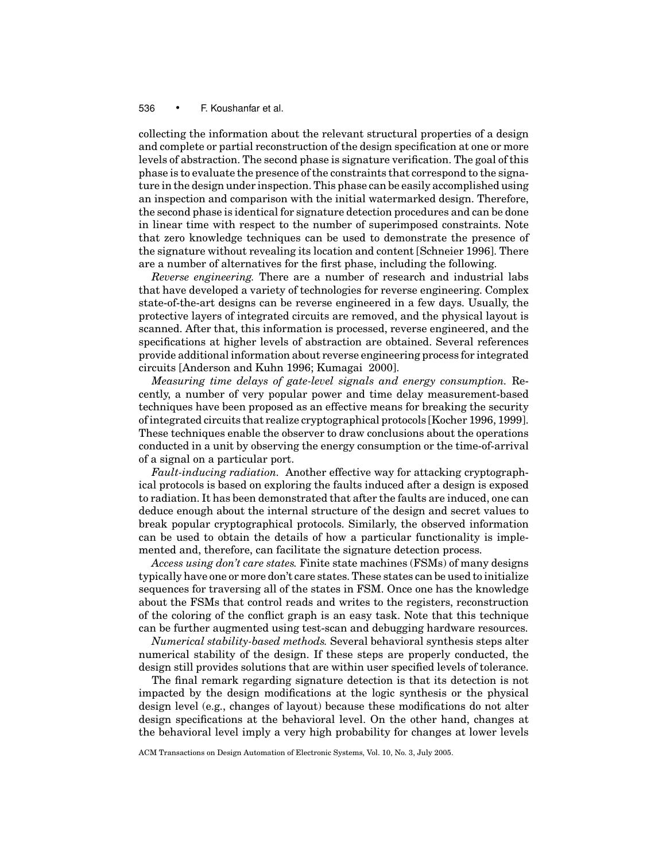collecting the information about the relevant structural properties of a design and complete or partial reconstruction of the design specification at one or more levels of abstraction. The second phase is signature verification. The goal of this phase is to evaluate the presence of the constraints that correspond to the signature in the design under inspection. This phase can be easily accomplished using an inspection and comparison with the initial watermarked design. Therefore, the second phase is identical for signature detection procedures and can be done in linear time with respect to the number of superimposed constraints. Note that zero knowledge techniques can be used to demonstrate the presence of the signature without revealing its location and content [Schneier 1996]. There are a number of alternatives for the first phase, including the following.

*Reverse engineering.* There are a number of research and industrial labs that have developed a variety of technologies for reverse engineering. Complex state-of-the-art designs can be reverse engineered in a few days. Usually, the protective layers of integrated circuits are removed, and the physical layout is scanned. After that, this information is processed, reverse engineered, and the specifications at higher levels of abstraction are obtained. Several references provide additional information about reverse engineering process for integrated circuits [Anderson and Kuhn 1996; Kumagai 2000].

*Measuring time delays of gate-level signals and energy consumption.* Recently, a number of very popular power and time delay measurement-based techniques have been proposed as an effective means for breaking the security of integrated circuits that realize cryptographical protocols [Kocher 1996, 1999]. These techniques enable the observer to draw conclusions about the operations conducted in a unit by observing the energy consumption or the time-of-arrival of a signal on a particular port.

*Fault-inducing radiation.* Another effective way for attacking cryptographical protocols is based on exploring the faults induced after a design is exposed to radiation. It has been demonstrated that after the faults are induced, one can deduce enough about the internal structure of the design and secret values to break popular cryptographical protocols. Similarly, the observed information can be used to obtain the details of how a particular functionality is implemented and, therefore, can facilitate the signature detection process.

*Access using don't care states.* Finite state machines (FSMs) of many designs typically have one or more don't care states. These states can be used to initialize sequences for traversing all of the states in FSM. Once one has the knowledge about the FSMs that control reads and writes to the registers, reconstruction of the coloring of the conflict graph is an easy task. Note that this technique can be further augmented using test-scan and debugging hardware resources.

*Numerical stability-based methods.* Several behavioral synthesis steps alter numerical stability of the design. If these steps are properly conducted, the design still provides solutions that are within user specified levels of tolerance.

The final remark regarding signature detection is that its detection is not impacted by the design modifications at the logic synthesis or the physical design level (e.g., changes of layout) because these modifications do not alter design specifications at the behavioral level. On the other hand, changes at the behavioral level imply a very high probability for changes at lower levels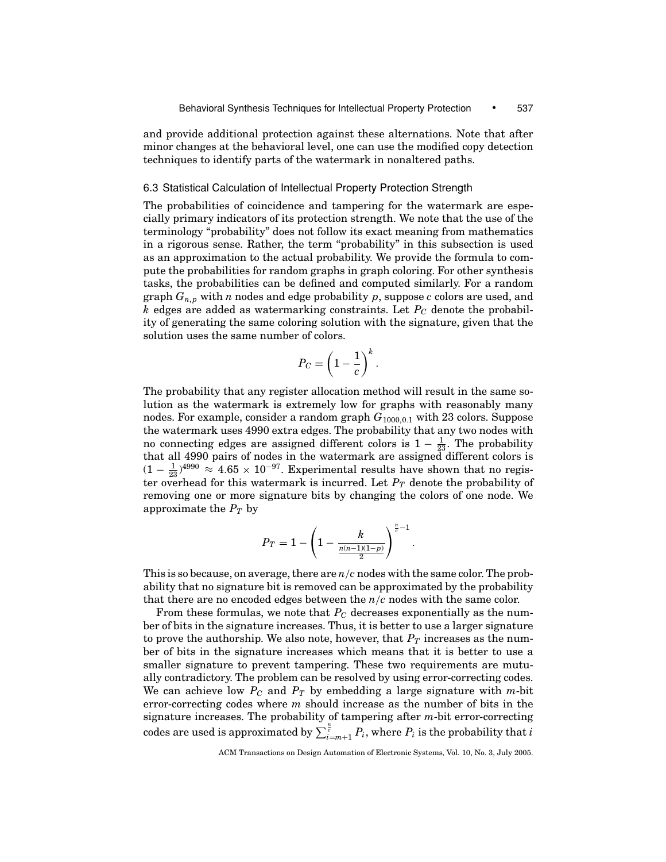and provide additional protection against these alternations. Note that after minor changes at the behavioral level, one can use the modified copy detection techniques to identify parts of the watermark in nonaltered paths.

#### 6.3 Statistical Calculation of Intellectual Property Protection Strength

The probabilities of coincidence and tampering for the watermark are especially primary indicators of its protection strength. We note that the use of the terminology "probability" does not follow its exact meaning from mathematics in a rigorous sense. Rather, the term "probability" in this subsection is used as an approximation to the actual probability. We provide the formula to compute the probabilities for random graphs in graph coloring. For other synthesis tasks, the probabilities can be defined and computed similarly. For a random graph  $G_{n,p}$  with *n* nodes and edge probability *p*, suppose *c* colors are used, and  $k$  edges are added as watermarking constraints. Let  $P_C$  denote the probability of generating the same coloring solution with the signature, given that the solution uses the same number of colors.

$$
P_C = \left(1 - \frac{1}{c}\right)^k.
$$

The probability that any register allocation method will result in the same solution as the watermark is extremely low for graphs with reasonably many nodes. For example, consider a random graph  $G_{1000,0.1}$  with 23 colors. Suppose the watermark uses 4990 extra edges. The probability that any two nodes with no connecting edges are assigned different colors is  $1 - \frac{1}{23}$ . The probability that all 4990 pairs of nodes in the watermark are assigned different colors is  $(1 - \frac{1}{23})^{4990} \approx 4.65 \times 10^{-97}$ . Experimental results have shown that no register overhead for this watermark is incurred. Let  $P_T$  denote the probability of removing one or more signature bits by changing the colors of one node. We approximate the  $P_T$  by

$$
P_T=1-\left(1-\frac{k}{\frac{n(n-1)(1-p)}{2}}\right)^{\frac{n}{c}-1}
$$

.

This is so because, on average, there are *n*/*c* nodes with the same color. The probability that no signature bit is removed can be approximated by the probability that there are no encoded edges between the *n*/*c* nodes with the same color.

From these formulas, we note that  $P_C$  decreases exponentially as the number of bits in the signature increases. Thus, it is better to use a larger signature to prove the authorship. We also note, however, that  $P_T$  increases as the number of bits in the signature increases which means that it is better to use a smaller signature to prevent tampering. These two requirements are mutually contradictory. The problem can be resolved by using error-correcting codes. We can achieve low  $P_c$  and  $P_T$  by embedding a large signature with *m*-bit error-correcting codes where *m* should increase as the number of bits in the signature increases. The probability of tampering after *m*-bit error-correcting codes are used is approximated by  $\sum_{i=m+1}^{\frac{n}{c}} P_i$ , where  $P_i$  is the probability that *i*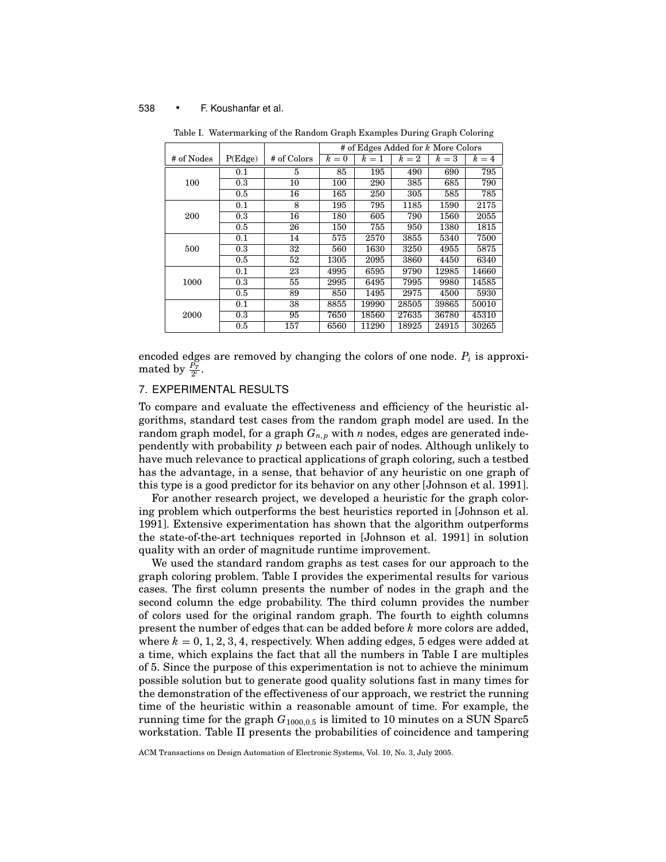|            |         |             | # of Edges Added for k More Colors |       |       |       |       |
|------------|---------|-------------|------------------------------------|-------|-------|-------|-------|
| # of Nodes | P(Edge) | # of Colors | $k=0$                              | $k =$ | $k=2$ | $k=3$ | $k=4$ |
|            | 0.1     | 5           | 85                                 | 195   | 490   | 690   | 795   |
| 100        | 0.3     | 10          | 100                                | 290   | 385   | 685   | 790   |
|            | 0.5     | 16          | 165                                | 250   | 305   | 585   | 785   |
|            | 0.1     | 8           | 195                                | 795   | 1185  | 1590  | 2175  |
| 200        | 0.3     | 16          | 180                                | 605   | 790   | 1560  | 2055  |
|            | 0.5     | 26          | 150                                | 755   | 950   | 1380  | 1815  |
|            | 0.1     | 14          | 575                                | 2570  | 3855  | 5340  | 7500  |
| 500        | 0.3     | 32          | 560                                | 1630  | 3250  | 4955  | 5875  |
|            | 0.5     | 52          | 1305                               | 2095  | 3860  | 4450  | 6340  |
|            | 0.1     | 23          | 4995                               | 6595  | 9790  | 12985 | 14660 |
| 1000       | 0.3     | 55          | 2995                               | 6495  | 7995  | 9980  | 14585 |
|            | 0.5     | 89          | 850                                | 1495  | 2975  | 4500  | 5930  |
|            | 0.1     | 38          | 8855                               | 19990 | 28505 | 39865 | 50010 |
| 2000       | 0.3     | 95          | 7650                               | 18560 | 27635 | 36780 | 45310 |
|            | 0.5     | 157         | 6560                               | 11290 | 18925 | 24915 | 30265 |

Table I. Watermarking of the Random Graph Examples During Graph Coloring

encoded edges are removed by changing the colors of one node.  $P_i$  is approximated by  $\frac{P_T^-}{2^i}$ .

## 7. EXPERIMENTAL RESULTS

To compare and evaluate the effectiveness and efficiency of the heuristic algorithms, standard test cases from the random graph model are used. In the random graph model, for a graph  $G_{n,p}$  with *n* nodes, edges are generated independently with probability *p* between each pair of nodes. Although unlikely to have much relevance to practical applications of graph coloring, such a testbed has the advantage, in a sense, that behavior of any heuristic on one graph of this type is a good predictor for its behavior on any other [Johnson et al. 1991].

For another research project, we developed a heuristic for the graph coloring problem which outperforms the best heuristics reported in [Johnson et al. 1991]. Extensive experimentation has shown that the algorithm outperforms the state-of-the-art techniques reported in [Johnson et al. 1991] in solution quality with an order of magnitude runtime improvement.

We used the standard random graphs as test cases for our approach to the graph coloring problem. Table I provides the experimental results for various cases. The first column presents the number of nodes in the graph and the second column the edge probability. The third column provides the number of colors used for the original random graph. The fourth to eighth columns present the number of edges that can be added before *k* more colors are added, where  $k = 0, 1, 2, 3, 4$ , respectively. When adding edges, 5 edges were added at a time, which explains the fact that all the numbers in Table I are multiples of 5. Since the purpose of this experimentation is not to achieve the minimum possible solution but to generate good quality solutions fast in many times for the demonstration of the effectiveness of our approach, we restrict the running time of the heuristic within a reasonable amount of time. For example, the running time for the graph  $G_{1000,0.5}$  is limited to 10 minutes on a SUN Sparc5 workstation. Table II presents the probabilities of coincidence and tampering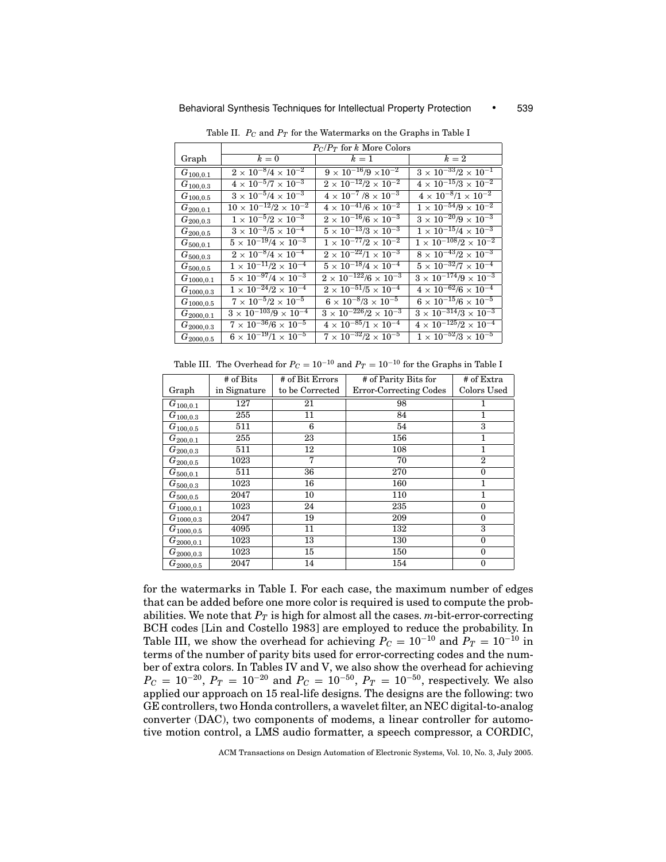|                   | $P_C/P_T$ for k More Colors                     |                                                |                                         |  |  |  |  |
|-------------------|-------------------------------------------------|------------------------------------------------|-----------------------------------------|--|--|--|--|
| Graph             | $k=0$                                           | $k=1$                                          | $k=2$                                   |  |  |  |  |
| $G_{100,0.1}$     | $2\times10^{-8}/4\times10^{-2}$                 | $9 \times 10^{-16}/9 \times 10^{-2}$           | $3\times 10^{-33}/2\times 10^{-1}$      |  |  |  |  |
| $G_{100,0.3}$     | $4 \times 10^{-5} / 7 \times 10^{-3}$           | $2\times10^{-12}/2\times10^{-2}$               | $4\times10^{-15}/3\times10^{-2}$        |  |  |  |  |
| $G_{100,0.5}$     | $3\times10^{-5}/4\times10^{-3}$                 | $\overline{4\times10^{-7}}$ /8 $\times10^{-3}$ | $4 \times 10^{-8}/1 \times 10^{-2}$     |  |  |  |  |
| $G_{200,0.1}$     | $10 \times 10^{-12}/2 \times 10^{-2}$           | $4 \times 10^{-41} / 6 \times 10^{-2}$         | $1 \times 10^{-54} / 9 \times 10^{-2}$  |  |  |  |  |
| $G_{200,0.3}$     | $1 \times 10^{-5}$ / $2 \times 10^{-3}$         | $2 \times 10^{-16}$ /6 $\times$ $10^{-3}$      | $3\times10^{-20}/9\times10^{-3}$        |  |  |  |  |
| $G_{200,0.5}$     | $3\times 10^{-3}$ / $5\times 10^{-4}$           | $5\times 10^{-13}/3\times 10^{-3}$             | $1 \times 10^{-15}/4 \times 10^{-3}$    |  |  |  |  |
| $G_{\rm 500,0.1}$ | $5 \times 10^{-19}/4 \times 10^{-3}$            | $1\times 10^{-77}/2\times 10^{-2}$             | $1\times 10^{-108}/2\times 10^{-2}$     |  |  |  |  |
| $G_{500,0.3}$     | $2\times10^{-8}/4\times10^{-4}$                 | $2 \times 10^{-22}/1 \times 10^{-3}$           | $8 \times 10^{-43}/2 \times 10^{-3}$    |  |  |  |  |
| $G_{500,0.5}$     | $1 \times 10^{-11/2} \times \overline{10^{-4}}$ | $5 \times 10^{-18}/4 \times 10^{-4}$           | $5 \times 10^{-32}/7 \times 10^{-4}$    |  |  |  |  |
| $G_{1000,0.1}$    | $5 \times 10^{-97}/4 \times 10^{-3}$            | $2 \times 10^{-122}/6 \times 10^{-3}$          | $3\times 10^{-174}/9\times 10^{-3}$     |  |  |  |  |
| $G_{1000,0.3}$    | $1\times 10^{-24}/2\times 10^{-4}$              | $2\times 10^{-51}$ / $5\times 10^{-4}$         | $4\times10^{-62}$ /6 $\times$ $10^{-4}$ |  |  |  |  |
| $G_{1000,0.5}$    | $7 \times 10^{-5}/2 \times 10^{-5}$             | $6 \times 10^{-8}/3 \times 10^{-5}$            | $6 \times 10^{-15} / 6 \times 10^{-5}$  |  |  |  |  |
| $G_{2000,0.1}$    | $3\times 10^{-103}/9\times 10^{-4}$             | $3\times 10^{-226}/2\times 10^{-3}$            | $3\times 10^{-314}/3\times 10^{-3}$     |  |  |  |  |
| $G_{2000,0.3}$    | $7 \times 10^{-36}$ /6 $\times$ $10^{-5}$       | $4 \times 10^{-85}/1 \times 10^{-4}$           | $4 \times 10^{-125}/2 \times 10^{-4}$   |  |  |  |  |
| $G_{2000,0.5}$    | $6 \times 10^{-19} / 1 \times 10^{-5}$          | $7\times 10^{-32}/2\times 10^{-5}$             | $1\times10^{-52}/3\times10^{-5}$        |  |  |  |  |

Table II.  $P_C$  and  $P_T$  for the Watermarks on the Graphs in Table I

Table III. The Overhead for  $P_C = 10^{-10}$  and  $P_T = 10^{-10}$  for the Graphs in Table I

|                 | # of Bits    | # of Bit Errors | # of Parity Bits for          | $#$ of Extra   |
|-----------------|--------------|-----------------|-------------------------------|----------------|
| Graph           | in Signature | to be Corrected | <b>Error-Correcting Codes</b> | Colors Used    |
| $G_{100,0.1}$   | 127          | 21              | 98                            |                |
| $G_{100,0.3}$   | 255          | 11              | 84                            |                |
| $G_{100,0.5}$   | 511          | 6               | 54                            | 3              |
| $G_{200,0.1}$   | 255          | 23              | 156                           | 1              |
| $G_{200,0.3}$   | 511          | 12              | 108                           | 1              |
| $G_{200,0.5}$   | 1023         | 7               | 70                            | $\overline{2}$ |
| $G_{500,0.1}$   | 511          | 36              | 270                           | $\theta$       |
| $G_{500,0.3}$   | 1023         | 16              | 160                           | 1              |
| $G_{500,0.5}$   | 2047         | 10              | 110                           |                |
| $G_{1000,0.1}$  | 1023         | 24              | 235                           | $\theta$       |
| $G_{1000,0.3}$  | 2047         | 19              | 209                           | $\mathbf{0}$   |
| $G_{1000, 0.5}$ | 4095         | 11              | 132                           | 3              |
| $G_{2000,0.1}$  | 1023         | 13              | 130                           | $\theta$       |
| $G_{2000,0.3}$  | 1023         | 15              | 150                           | $\theta$       |
| $G_{2000,0.5}$  | 2047         | 14              | 154                           | $\theta$       |

for the watermarks in Table I. For each case, the maximum number of edges that can be added before one more color is required is used to compute the probabilities. We note that  $P_T$  is high for almost all the cases.  $m$ -bit-error-correcting BCH codes [Lin and Costello 1983] are employed to reduce the probability. In Table III, we show the overhead for achieving  $P_C = 10^{-10}$  and  $P_T = 10^{-10}$  in terms of the number of parity bits used for error-correcting codes and the number of extra colors. In Tables IV and V, we also show the overhead for achieving  $P_C = 10^{-20},\, P_T = 10^{-20}$  and  $P_C = 10^{-50},\, P_T = 10^{-50},\,$  respectively. We also applied our approach on 15 real-life designs. The designs are the following: two GE controllers, two Honda controllers, a wavelet filter, an NEC digital-to-analog converter (DAC), two components of modems, a linear controller for automotive motion control, a LMS audio formatter, a speech compressor, a CORDIC,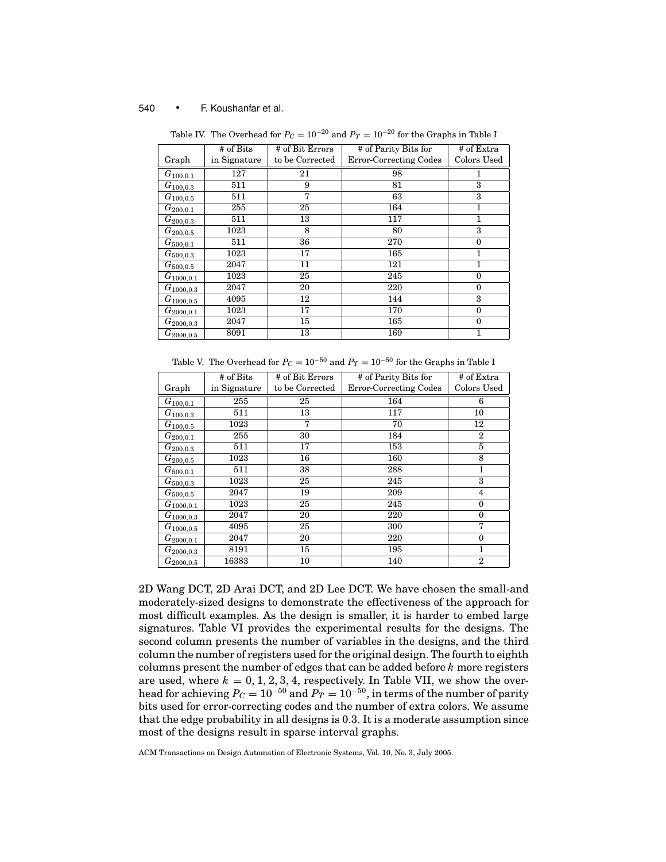# of Bits | # of Bit Errors | # of Parity Bits for | # of Extra Graph | in Signature | to be Corrected | Error-Correcting Codes | Colors Used  $G_{100,0.1}$  127  $\begin{array}{|c|c|c|c|c|}\n\hline\n21 & 98 & 1\n\end{array}$  $G_{100,0.3}$  511 9 81 3  $G_{100,0.5}$  511 7 63 3  $G_{200,0.1}$  255  $25$  25 164 1  $G_{200,0.3}$  511 13 117 117  $G_{200,0.5}$  1023 8 80 3  $G_{500,0.1}$  511 36 270 0  $G_{500,0.3}$  1023 17 17 165 1  $G_{500,0.5}$  2047 11 121 121 *G*<sub>1000,0,1</sub> 1023 25 245 0<br>*G*<sub>1000 0.3</sub> 2047 20 220 0 *G*<sub>1000,0.3</sub> 2047 20 220 0<br>*G*<sub>1000,0.5</sub> 4095 12 144 3 *G*<sub>1000,0.5</sub> 4095 12 144 3<br>*G*<sub>2000</sub> 01 1023 17 17 170 0 *G*<sub>2000,0.1</sub> 1023 17 170 0<br>*G*<sub>2000.0.3</sub> 2047 15 165 0 *G*<sub>2000,0.3</sub> 2047 15 165 *G*<sub>2000,0.5</sub> 8091 13 169 1

Table IV. The Overhead for  $P_C = 10^{-20}$  and  $P_T = 10^{-20}$  for the Graphs in Table I

Table V. The Overhead for  $P_C = 10^{-50}$  and  $P_T = 10^{-50}$  for the Graphs in Table I

|                    | # of Bits    | # of Bit Errors | # of Parity Bits for          | # of Extra         |
|--------------------|--------------|-----------------|-------------------------------|--------------------|
| Graph              | in Signature | to be Corrected | <b>Error-Correcting Codes</b> | <b>Colors Used</b> |
| $G_{100,0.1}$      | 255          | 25              | 164                           | 6                  |
| $G_{100,0.3}$      | 511          | 13              | 117                           | 10                 |
| $G_{100,0.5}$      | 1023         | 7               | 70                            | 12                 |
| $G_{200,0.1}$      | 255          | 30              | 184                           | $\overline{2}$     |
| $G_{200,0.3}$      | 511          | 17              | 153                           | 5                  |
| $G_{200,0.5}$      | 1023         | 16              | 160                           | 8                  |
| $G_{500,0.1}$      | 511          | 38              | 288                           | 1                  |
| $G_{500,0.3}$      | 1023         | 25              | 245                           | 3                  |
| $G_{\rm 500, 0.5}$ | 2047         | 19              | 209                           | $\overline{4}$     |
| $G_{1000,0.1}$     | 1023         | 25              | 245                           | $\theta$           |
| $G_{1000,0.3}$     | 2047         | 20              | 220                           | $\theta$           |
| $G_{1000,0.5}$     | 4095         | 25              | 300                           | 7                  |
| $G_{2000,0.1}$     | 2047         | 20              | 220                           | $\theta$           |
| $G_{2000,0.3}$     | 8191         | 15              | 195                           | 1                  |
| $G_{2000,0.5}$     | 16383        | 10              | 140                           | $\overline{2}$     |

2D Wang DCT, 2D Arai DCT, and 2D Lee DCT. We have chosen the small-and moderately-sized designs to demonstrate the effectiveness of the approach for most difficult examples. As the design is smaller, it is harder to embed large signatures. Table VI provides the experimental results for the designs. The second column presents the number of variables in the designs, and the third column the number of registers used for the original design. The fourth to eighth columns present the number of edges that can be added before *k* more registers are used, where  $k = 0, 1, 2, 3, 4$ , respectively. In Table VII, we show the overhead for achieving  $P_C=10^{-50}$  and  $P_T=10^{-50},$  in terms of the number of parity bits used for error-correcting codes and the number of extra colors. We assume that the edge probability in all designs is 0.3. It is a moderate assumption since most of the designs result in sparse interval graphs.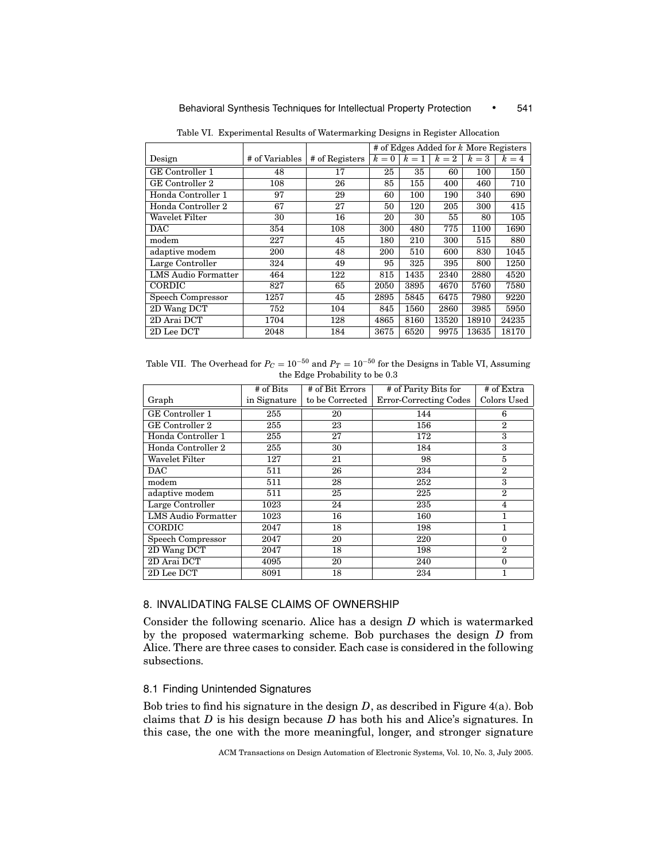|                     |                |                | # of Edges Added for k More Registers |       |       |       |       |
|---------------------|----------------|----------------|---------------------------------------|-------|-------|-------|-------|
| Design              | # of Variables | # of Registers | $k=0$                                 | $k=1$ | $k=2$ | $k=3$ | $k=4$ |
| GE Controller 1     | 48             | 17             | 25                                    | 35    | 60    | 100   | 150   |
| GE Controller 2     | 108            | 26             | 85                                    | 155   | 400   | 460   | 710   |
| Honda Controller 1  | 97             | 29             | 60                                    | 100   | 190   | 340   | 690   |
| Honda Controller 2  | 67             | 27             | 50                                    | 120   | 205   | 300   | 415   |
| Wavelet Filter      | 30             | 16             | 20                                    | 30    | 55    | 80    | 105   |
| <b>DAC</b>          | 354            | 108            | 300                                   | 480   | 775   | 1100  | 1690  |
| modem               | 227            | 45             | 180                                   | 210   | 300   | 515   | 880   |
| adaptive modem      | 200            | 48             | 200                                   | 510   | 600   | 830   | 1045  |
| Large Controller    | 324            | 49             | 95                                    | 325   | 395   | 800   | 1250  |
| LMS Audio Formatter | 464            | 122            | 815                                   | 1435  | 2340  | 2880  | 4520  |
| CORDIC              | 827            | 65             | 2050                                  | 3895  | 4670  | 5760  | 7580  |
| Speech Compressor   | 1257           | 45             | 2895                                  | 5845  | 6475  | 7980  | 9220  |
| 2D Wang DCT         | 752            | 104            | 845                                   | 1560  | 2860  | 3985  | 5950  |
| 2D Arai DCT         | 1704           | 128            | 4865                                  | 8160  | 13520 | 18910 | 24235 |
| 2D Lee DCT          | 2048           | 184            | 3675                                  | 6520  | 9975  | 13635 | 18170 |

Table VI. Experimental Results of Watermarking Designs in Register Allocation

Table VII. The Overhead for  $P_C = 10^{-50}$  and  $P_T = 10^{-50}$  for the Designs in Table VI, Assuming the Edge Probability to be 0.3

|                            | # of Bits    | # of Bit Errors | $#$ of Parity Bits for        | # of Extra     |
|----------------------------|--------------|-----------------|-------------------------------|----------------|
| Graph                      | in Signature | to be Corrected | <b>Error-Correcting Codes</b> | Colors Used    |
| <b>GE</b> Controller 1     | 255          | 20              | 144                           | 6              |
| GE Controller 2            | 255          | 23              | 156                           | $\mathbf{2}$   |
| Honda Controller 1         | 255          | 27              | 172                           | 3              |
| Honda Controller 2         | 255          | 30              | 184                           | 3              |
| Wavelet Filter             | 127          | 21              | 98                            | 5              |
| DAC                        | 511          | 26              | 234                           | $\overline{2}$ |
| modem                      | 511          | 28              | 252                           | 3              |
| adaptive modem             | 511          | 25              | 225                           | $\overline{2}$ |
| Large Controller           | 1023         | 24              | 235                           | 4              |
| <b>LMS</b> Audio Formatter | 1023         | 16              | 160                           |                |
| CORDIC                     | 2047         | 18              | 198                           |                |
| Speech Compressor          | 2047         | 20              | 220                           | $\Omega$       |
| 2D Wang DCT                | 2047         | 18              | 198                           | $\overline{2}$ |
| 2D Arai DCT                | 4095         | 20              | 240                           | $\theta$       |
| 2D Lee DCT                 | 8091         | 18              | 234                           |                |

## 8. INVALIDATING FALSE CLAIMS OF OWNERSHIP

Consider the following scenario. Alice has a design *D* which is watermarked by the proposed watermarking scheme. Bob purchases the design *D* from Alice. There are three cases to consider. Each case is considered in the following subsections.

## 8.1 Finding Unintended Signatures

Bob tries to find his signature in the design  $D$ , as described in Figure 4(a). Bob claims that *D* is his design because *D* has both his and Alice's signatures. In this case, the one with the more meaningful, longer, and stronger signature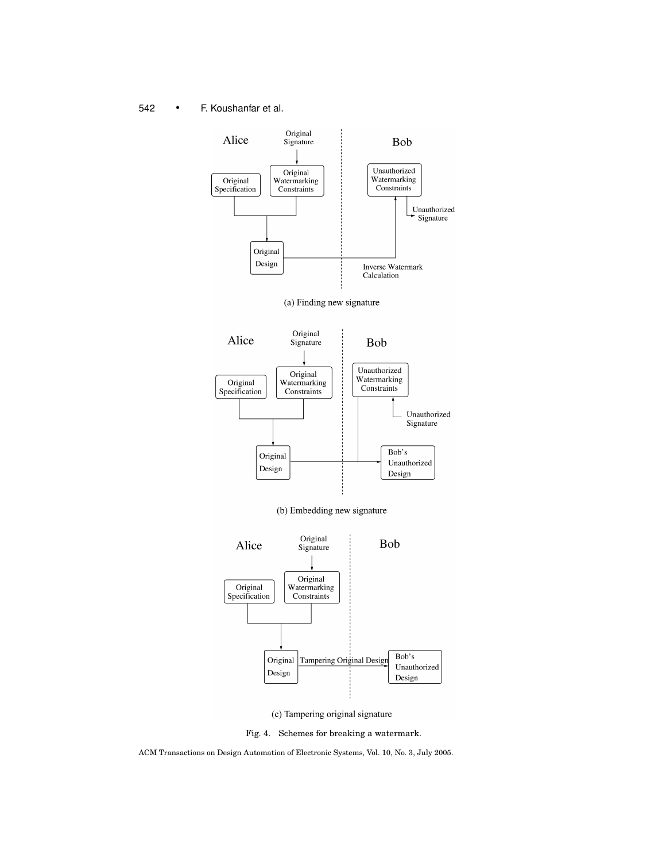













ACM Transactions on Design Automation of Electronic Systems, Vol. 10, No. 3, July 2005.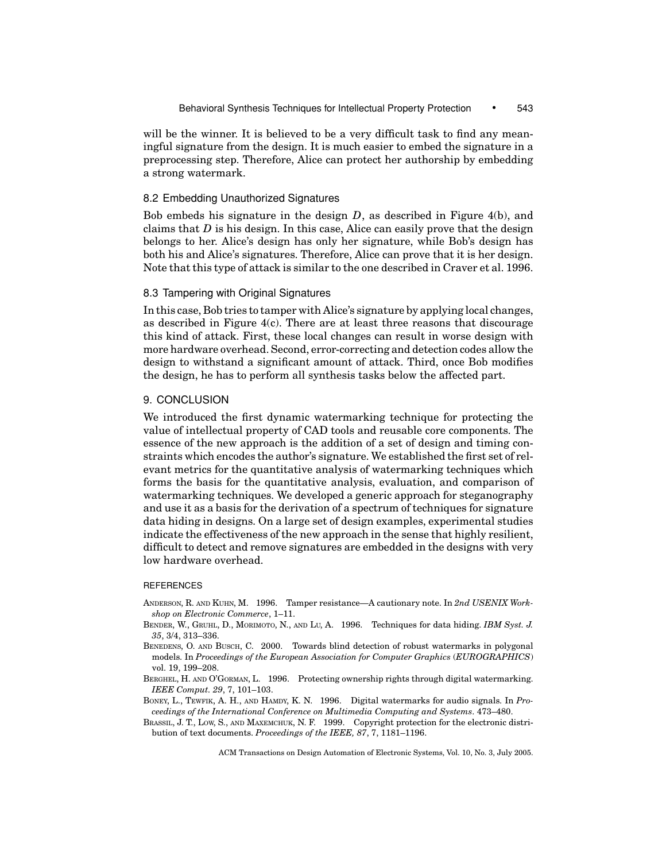will be the winner. It is believed to be a very difficult task to find any meaningful signature from the design. It is much easier to embed the signature in a preprocessing step. Therefore, Alice can protect her authorship by embedding a strong watermark.

#### 8.2 Embedding Unauthorized Signatures

Bob embeds his signature in the design *D*, as described in Figure 4(b), and claims that  $D$  is his design. In this case, Alice can easily prove that the design belongs to her. Alice's design has only her signature, while Bob's design has both his and Alice's signatures. Therefore, Alice can prove that it is her design. Note that this type of attack is similar to the one described in Craver et al. 1996.

## 8.3 Tampering with Original Signatures

In this case, Bob tries to tamper with Alice's signature by applying local changes, as described in Figure 4(c). There are at least three reasons that discourage this kind of attack. First, these local changes can result in worse design with more hardware overhead. Second, error-correcting and detection codes allow the design to withstand a significant amount of attack. Third, once Bob modifies the design, he has to perform all synthesis tasks below the affected part.

## 9. CONCLUSION

We introduced the first dynamic watermarking technique for protecting the value of intellectual property of CAD tools and reusable core components. The essence of the new approach is the addition of a set of design and timing constraints which encodes the author's signature. We established the first set of relevant metrics for the quantitative analysis of watermarking techniques which forms the basis for the quantitative analysis, evaluation, and comparison of watermarking techniques. We developed a generic approach for steganography and use it as a basis for the derivation of a spectrum of techniques for signature data hiding in designs. On a large set of design examples, experimental studies indicate the effectiveness of the new approach in the sense that highly resilient, difficult to detect and remove signatures are embedded in the designs with very low hardware overhead.

#### **REFERENCES**

- ANDERSON, R. AND KUHN, M. 1996. Tamper resistance—A cautionary note. In *2nd USENIX Workshop on Electronic Commerce*, 1–11.
- BENDER, W., GRUHL, D., MORIMOTO, N., AND LU, A. 1996. Techniques for data hiding. *IBM Syst. J. 35*, 3/4, 313–336.
- BENEDENS, O. AND BUSCH, C. 2000. Towards blind detection of robust watermarks in polygonal models. In *Proceedings of the European Association for Computer Graphics* (*EUROGRAPHICS*) vol. 19, 199–208.
- BERGHEL, H. AND O'GORMAN, L. 1996. Protecting ownership rights through digital watermarking. *IEEE Comput. 29*, 7, 101–103.
- BONEY, L., TEWFIK, A. H., AND HAMDY, K. N. 1996. Digital watermarks for audio signals. In *Proceedings of the International Conference on Multimedia Computing and Systems*. 473–480.
- BRASSIL, J. T., LOW, S., AND MAXEMCHUK, N. F. 1999. Copyright protection for the electronic distribution of text documents. *Proceedings of the IEEE, 87*, 7, 1181–1196.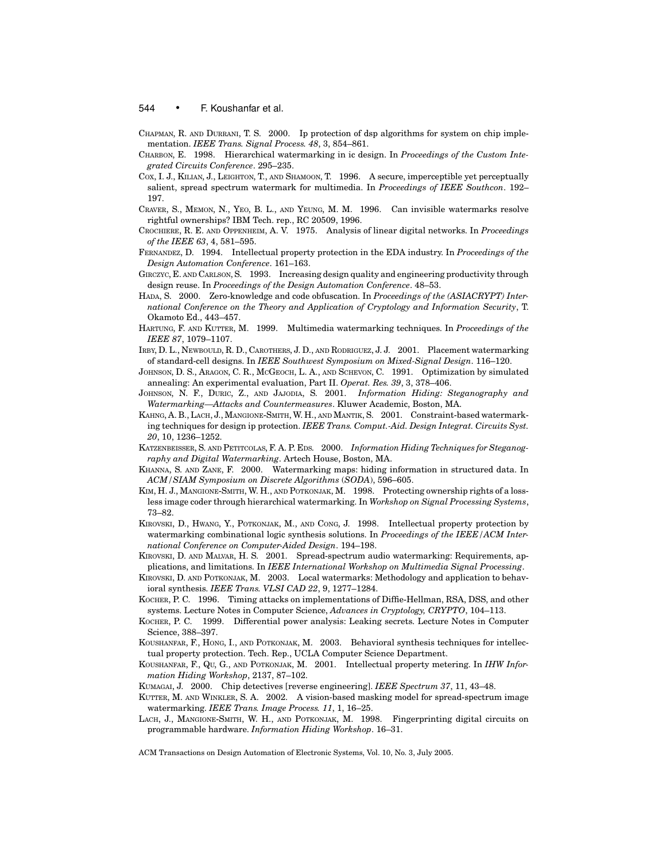- CHAPMAN, R. AND DURRANI, T. S. 2000. Ip protection of dsp algorithms for system on chip implementation. *IEEE Trans. Signal Process. 48*, 3, 854–861.
- CHARBON, E. 1998. Hierarchical watermarking in ic design. In *Proceedings of the Custom Integrated Circuits Conference*. 295–235.
- COX, I. J., KILIAN, J., LEIGHTON, T., AND SHAMOON, T. 1996. A secure, imperceptible yet perceptually salient, spread spectrum watermark for multimedia. In *Proceedings of IEEE Southcon*. 192– 197.
- CRAVER, S., MEMON, N., YEO, B. L., AND YEUNG, M. M. 1996. Can invisible watermarks resolve rightful ownerships? IBM Tech. rep., RC 20509, 1996.
- CROCHIERE, R. E. AND OPPENHEIM, A. V. 1975. Analysis of linear digital networks. In *Proceedings of the IEEE 63*, 4, 581–595.
- FERNANDEZ, D. 1994. Intellectual property protection in the EDA industry. In *Proceedings of the Design Automation Conference*. 161–163.
- GIRCZYC, E. AND CARLSON, S. 1993. Increasing design quality and engineering productivity through design reuse. In *Proceedings of the Design Automation Conference*. 48–53.
- HADA, S. 2000. Zero-knowledge and code obfuscation. In *Proceedings of the (ASIACRYPT) International Conference on the Theory and Application of Cryptology and Information Security*, T. Okamoto Ed., 443–457.
- HARTUNG, F. AND KUTTER, M. 1999. Multimedia watermarking techniques. In *Proceedings of the IEEE 87*, 1079–1107.
- IRBY, D. L., NEWBOULD, R. D., CAROTHERS, J. D., AND RODRIGUEZ, J. J. 2001. Placement watermarking of standard-cell designs. In *IEEE Southwest Symposium on Mixed-Signal Design*. 116–120.
- JOHNSON, D. S., ARAGON, C. R., MCGEOCH, L. A., AND SCHEVON, C. 1991. Optimization by simulated annealing: An experimental evaluation, Part II. *Operat. Res. 39*, 3, 378–406.
- JOHNSON, N. F., DURIC, Z., AND JAJODIA, S. 2001. *Information Hiding: Steganography and Watermarking—Attacks and Countermeasures*. Kluwer Academic, Boston, MA.
- KAHNG, A. B., LACH, J., MANGIONE-SMITH, W. H., AND MANTIK, S. 2001. Constraint-based watermarking techniques for design ip protection. *IEEE Trans. Comput.-Aid. Design Integrat. Circuits Syst. 20*, 10, 1236–1252.
- KATZENBEISSER, S. AND PETITCOLAS, F. A. P. EDS. 2000. *Information Hiding Techniques for Steganography and Digital Watermarking*. Artech House, Boston, MA.
- KHANNA, S. AND ZANE, F. 2000. Watermarking maps: hiding information in structured data. In *ACM/SIAM Symposium on Discrete Algorithms* (*SODA*), 596–605.
- KIM, H. J., MANGIONE-SMITH, W. H., AND POTKONJAK, M. 1998. Protecting ownership rights of a lossless image coder through hierarchical watermarking. In *Workshop on Signal Processing Systems*, 73–82.
- KIROVSKI, D., HWANG, Y., POTKONJAK, M., AND CONG, J. 1998. Intellectual property protection by watermarking combinational logic synthesis solutions. In *Proceedings of the IEEE/ACM International Conference on Computer-Aided Design*. 194–198.
- KIROVSKI, D. AND MALVAR, H. S. 2001. Spread-spectrum audio watermarking: Requirements, applications, and limitations. In *IEEE International Workshop on Multimedia Signal Processing*.
- KIROVSKI, D. AND POTKONJAK, M. 2003. Local watermarks: Methodology and application to behavioral synthesis. *IEEE Trans. VLSI CAD 22*, 9, 1277–1284.
- KOCHER, P. C. 1996. Timing attacks on implementations of Diffie-Hellman, RSA, DSS, and other systems. Lecture Notes in Computer Science, *Advances in Cryptology, CRYPTO*, 104–113.
- KOCHER, P. C. 1999. Differential power analysis: Leaking secrets. Lecture Notes in Computer Science, 388–397.
- KOUSHANFAR, F., HONG, I., AND POTKONJAK, M. 2003. Behavioral synthesis techniques for intellectual property protection. Tech. Rep., UCLA Computer Science Department.
- KOUSHANFAR, F., QU, G., AND POTKONJAK, M. 2001. Intellectual property metering. In *IHW Information Hiding Workshop*, 2137, 87–102.
- KUMAGAI, J. 2000. Chip detectives [reverse engineering]. *IEEE Spectrum 37*, 11, 43–48.
- KUTTER, M. AND WINKLER, S. A. 2002. A vision-based masking model for spread-spectrum image watermarking. *IEEE Trans. Image Process. 11*, 1, 16–25.
- LACH, J., MANGIONE-SMITH, W. H., AND POTKONJAK, M. 1998. Fingerprinting digital circuits on programmable hardware. *Information Hiding Workshop*. 16–31.